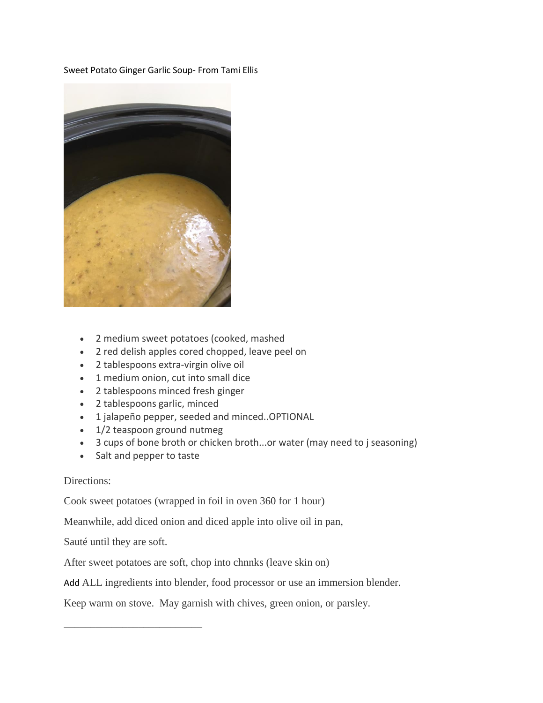Sweet Potato Ginger Garlic Soup- From Tami Ellis



- 2 medium sweet potatoes (cooked, mashed
- 2 red delish apples cored chopped, leave peel on
- 2 tablespoons extra-virgin olive oil
- 1 medium onion, cut into small dice
- 2 tablespoons minced fresh ginger
- 2 tablespoons garlic, minced
- 1 jalapeño pepper, seeded and minced..OPTIONAL
- 1/2 teaspoon ground nutmeg
- 3 cups of bone broth or chicken broth...or water (may need to j seasoning)
- Salt and pepper to taste

## Directions:

Cook sweet potatoes (wrapped in foil in oven 360 for 1 hour)

Meanwhile, add diced onion and diced apple into olive oil in pan,

Sauté until they are soft.

\_\_\_\_\_\_\_\_\_\_\_\_\_\_\_\_\_\_\_\_\_\_\_\_\_\_

After sweet potatoes are soft, chop into chnnks (leave skin on)

Add ALL ingredients into blender, food processor or use an immersion blender.

Keep warm on stove. May garnish with chives, green onion, or parsley.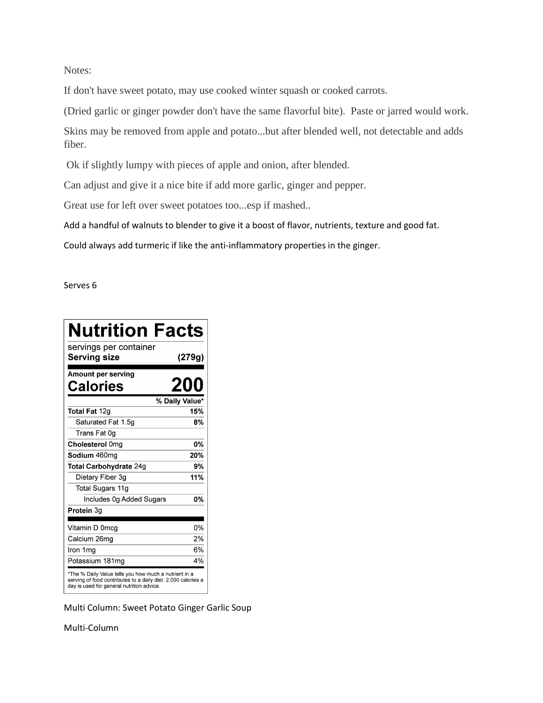Notes:

If don't have sweet potato, may use cooked winter squash or cooked carrots.

(Dried garlic or ginger powder don't have the same flavorful bite). Paste or jarred would work.

Skins may be removed from apple and potato...but after blended well, not detectable and adds fiber.

Ok if slightly lumpy with pieces of apple and onion, after blended.

Can adjust and give it a nice bite if add more garlic, ginger and pepper.

Great use for left over sweet potatoes too...esp if mashed..

Add a handful of walnuts to blender to give it a boost of flavor, nutrients, texture and good fat.

Could always add turmeric if like the anti-inflammatory properties in the ginger.

Serves 6

| <b>Nutrition Facts</b>                                                                                                                                              |                |
|---------------------------------------------------------------------------------------------------------------------------------------------------------------------|----------------|
| servings per container<br><b>Serving size</b>                                                                                                                       | (279g)         |
| Amount per serving<br>Calories                                                                                                                                      | 200            |
|                                                                                                                                                                     | % Daily Value* |
| Total Fat 12g                                                                                                                                                       | 15%            |
| Saturated Fat 1.5q                                                                                                                                                  | 8%             |
| Trans Fat 0g                                                                                                                                                        |                |
| Cholesterol 0mg                                                                                                                                                     | 0%             |
| Sodium 460mg                                                                                                                                                        | 20%            |
| <b>Total Carbohydrate 24g</b>                                                                                                                                       | 9%             |
| Dietary Fiber 3g                                                                                                                                                    | 11%            |
| Total Sugars 11g                                                                                                                                                    |                |
| Includes 0g Added Sugars                                                                                                                                            | 0%             |
| Protein 3g                                                                                                                                                          |                |
| Vitamin D 0mcg                                                                                                                                                      | 0%             |
| Calcium 26mg                                                                                                                                                        | 2%             |
| Iron 1mg                                                                                                                                                            | 6%             |
| Potassium 181mg                                                                                                                                                     | 4%             |
| *The % Daily Value tells you how much a nutrient in a<br>serving of food contributes to a daily diet. 2,000 calories a<br>day is used for general nutrition advice. |                |

Multi Column: Sweet Potato Ginger Garlic Soup

Multi-Column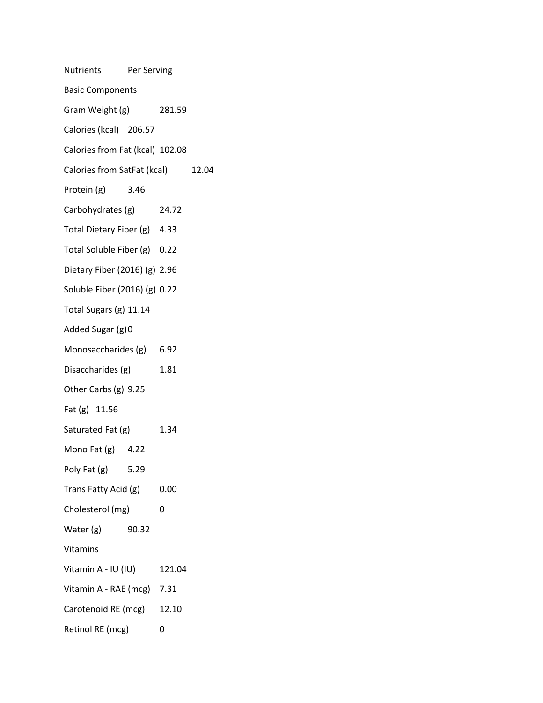| Nutrients Per Serving             |       |        |  |  |
|-----------------------------------|-------|--------|--|--|
| <b>Basic Components</b>           |       |        |  |  |
| Gram Weight (g)                   |       | 281.59 |  |  |
| Calories (kcal) 206.57            |       |        |  |  |
| Calories from Fat (kcal) 102.08   |       |        |  |  |
| Calories from SatFat (kcal) 12.04 |       |        |  |  |
| Protein (g) 3.46                  |       |        |  |  |
| Carbohydrates (g) 24.72           |       |        |  |  |
| Total Dietary Fiber (g) 4.33      |       |        |  |  |
| Total Soluble Fiber (g) 0.22      |       |        |  |  |
| Dietary Fiber (2016) (g) 2.96     |       |        |  |  |
| Soluble Fiber (2016) (g) 0.22     |       |        |  |  |
| Total Sugars (g) 11.14            |       |        |  |  |
| Added Sugar (g)0                  |       |        |  |  |
| Monosaccharides (g) 6.92          |       |        |  |  |
| Disaccharides (g)                 |       | 1.81   |  |  |
| Other Carbs (g) 9.25              |       |        |  |  |
| Fat (g) 11.56                     |       |        |  |  |
| Saturated Fat (g)                 |       | 1.34   |  |  |
| Mono Fat $(g)$ 4.22               |       |        |  |  |
| Poly Fat $(g)$ 5.29               |       |        |  |  |
| Trans Fatty Acid (g)              |       | 0.00   |  |  |
| Cholesterol (mg)                  |       | 0      |  |  |
| Water (g)                         | 90.32 |        |  |  |
| Vitamins                          |       |        |  |  |
| Vitamin A - IU (IU)               |       | 121.04 |  |  |
| Vitamin A - RAE (mcg) 7.31        |       |        |  |  |
| Carotenoid RE (mcg)               |       | 12.10  |  |  |
| Retinol RE (mcg)                  |       | 0      |  |  |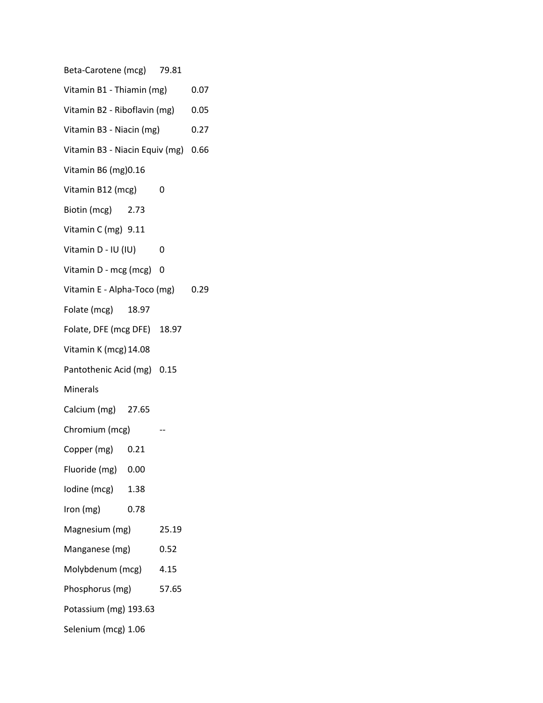| Beta-Carotene (mcg) 79.81           |      |       |      |  |
|-------------------------------------|------|-------|------|--|
| Vitamin B1 - Thiamin (mg)           |      | 0.07  |      |  |
| Vitamin B2 - Riboflavin (mg)        |      | 0.05  |      |  |
| Vitamin B3 - Niacin (mg)            |      | 0.27  |      |  |
| Vitamin B3 - Niacin Equiv (mg) 0.66 |      |       |      |  |
| Vitamin B6 (mg) 0.16                |      |       |      |  |
| Vitamin B12 (mcg)                   |      | 0     |      |  |
| Biotin (mcg) 2.73                   |      |       |      |  |
| Vitamin C (mg) 9.11                 |      |       |      |  |
| Vitamin D - IU (IU)                 |      | 0     |      |  |
| Vitamin D - mcg (mcg) 0             |      |       |      |  |
| Vitamin E - Alpha-Toco (mg)         |      |       | 0.29 |  |
| Folate (mcg) 18.97                  |      |       |      |  |
| Folate, DFE (mcg DFE) 18.97         |      |       |      |  |
| Vitamin K (mcg) 14.08               |      |       |      |  |
| Pantothenic Acid (mg) 0.15          |      |       |      |  |
| <b>Minerals</b>                     |      |       |      |  |
| Calcium (mg) 27.65                  |      |       |      |  |
| Chromium (mcg)                      |      |       |      |  |
| Copper (mg) 0.21                    |      |       |      |  |
| Fluoride (mg) 0.00                  |      |       |      |  |
| lodine (mcg) 1.38                   |      |       |      |  |
| Iron (mg)                           | 0.78 |       |      |  |
| Magnesium (mg)                      |      | 25.19 |      |  |
| Manganese (mg)                      |      | 0.52  |      |  |
| Molybdenum (mcg)                    |      | 4.15  |      |  |
| Phosphorus (mg)                     |      | 57.65 |      |  |
| Potassium (mg) 193.63               |      |       |      |  |
| Selenium (mcg) 1.06                 |      |       |      |  |